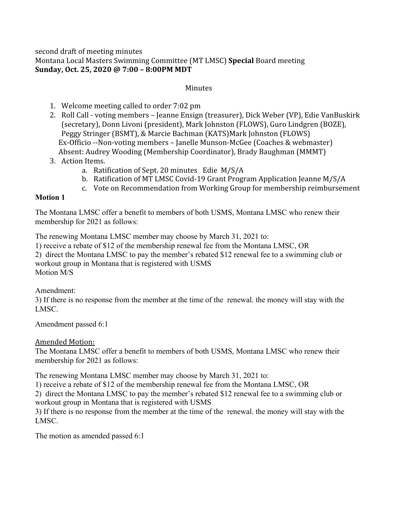# second draft of meeting minutes Montana Local Masters Swimming Committee (MT LMSC) **Special** Board meeting **Sunday, Oct. 25, 2020 @ 7:00 – 8:00PM MDT**

# **Minutes**

- 1. Welcome meeting called to order 7:02 pm
- 2. Roll Call voting members Jeanne Ensign (treasurer), Dick Weber (VP), Edie VanBuskirk (secretary), Donn Livoni (president), Mark Johnston (FLOWS), Guro Lindgren (BOZE), Peggy Stringer (BSMT), & Marcie Bachman (KATS)Mark Johnston (FLOWS) Ex-Officio --Non-voting members – Janelle Munson-McGee (Coaches & webmaster) Absent: Audrey Wooding (Membership Coordinator), Brady Baughman (MMMT)
- 3. Action Items.
	- a. Ratification of Sept. 20 minutes Edie M/S/A
	- b. Ratification of MT LMSC Covid-19 Grant Program Application Jeanne M/S/A
	- c. Vote on Recommendation from Working Group for membership reimbursement

### **Motion 1**

The Montana LMSC offer a benefit to members of both USMS, Montana LMSC who renew their membership for 2021 as follows:

The renewing Montana LMSC member may choose by March 31, 2021 to:

1) receive a rebate of \$12 of the membership renewal fee from the Montana LMSC, OR

2) direct the Montana LMSC to pay the member's rebated \$12 renewal fee to a swimming club or workout group in Montana that is registered with USMS Motion M/S

Amendment:

3) If there is no response from the member at the time of the renewal. the money will stay with the LMSC.

Amendment passed 6:1

Amended Motion:

The Montana LMSC offer a benefit to members of both USMS, Montana LMSC who renew their membership for 2021 as follows:

The renewing Montana LMSC member may choose by March 31, 2021 to:

1) receive a rebate of \$12 of the membership renewal fee from the Montana LMSC, OR

2) direct the Montana LMSC to pay the member's rebated \$12 renewal fee to a swimming club or workout group in Montana that is registered with USMS

3) If there is no response from the member at the time of the renewal. the money will stay with the LMSC.

The motion as amended passed 6:1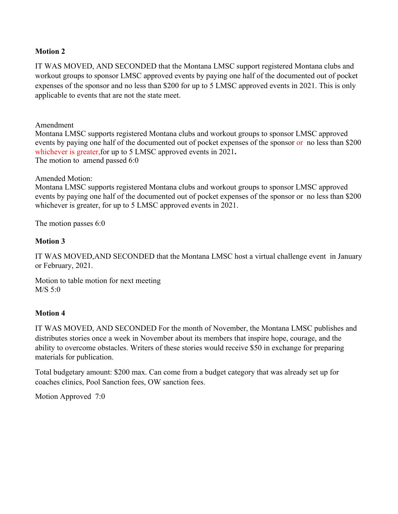## **Motion 2**

IT WAS MOVED, AND SECONDED that the Montana LMSC support registered Montana clubs and workout groups to sponsor LMSC approved events by paying one half of the documented out of pocket expenses of the sponsor and no less than \$200 for up to 5 LMSC approved events in 2021. This is only applicable to events that are not the state meet.

Amendment

Montana LMSC supports registered Montana clubs and workout groups to sponsor LMSC approved events by paying one half of the documented out of pocket expenses of the sponsor or no less than \$200 whichever is greater,for up to 5 LMSC approved events in 2021**.** The motion to amend passed 6:0

Amended Motion:

Montana LMSC supports registered Montana clubs and workout groups to sponsor LMSC approved events by paying one half of the documented out of pocket expenses of the sponsor or no less than \$200 whichever is greater, for up to 5 LMSC approved events in 2021.

The motion passes 6:0

### **Motion 3**

IT WAS MOVED,AND SECONDED that the Montana LMSC host a virtual challenge event in January or February, 2021.

Motion to table motion for next meeting M/S 5:0

# **Motion 4**

IT WAS MOVED, AND SECONDED For the month of November, the Montana LMSC publishes and distributes stories once a week in November about its members that inspire hope, courage, and the ability to overcome obstacles. Writers of these stories would receive \$50 in exchange for preparing materials for publication.

Total budgetary amount: \$200 max. Can come from a budget category that was already set up for coaches clinics, Pool Sanction fees, OW sanction fees.

Motion Approved 7:0